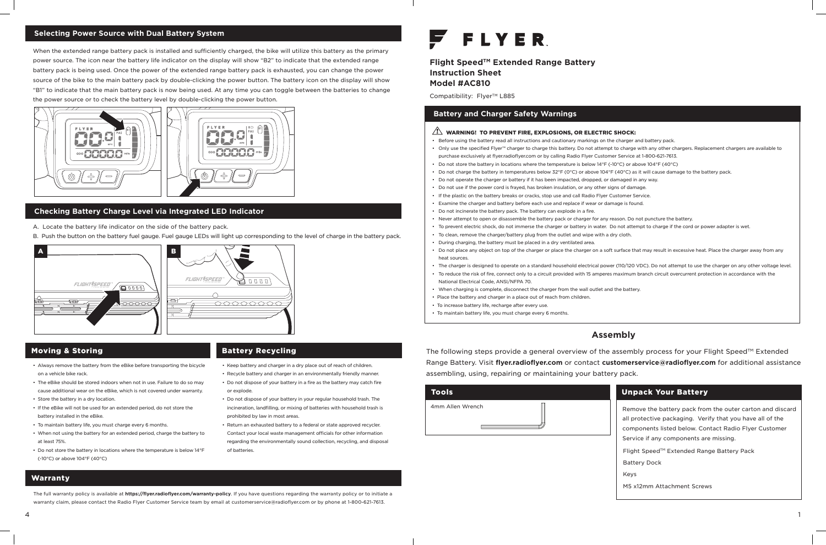**Flight SpeedTM Extended Range Battery Instruction Sheet Model #AC810**

Compatibility: Flyer™ L885

• Only use the specified Flyer™ charger to charge this battery. Do not attempt to charge with any other chargers. Replacement chargers are available to

• Do not charge the battery in temperatures below 32°F (0°C) or above 104°F (40°C) as it will cause damage to the battery pack.

• Never attempt to open or disassemble the battery pack or charger for any reason. Do not puncture the battery.

- Before using the battery read all instructions and cautionary markings on the charger and battery pack.
- purchase exclusively at flyer.radioflyer.com or by calling Radio Flyer Customer Service at 1-800-621-7613.
- Do not store the battery in locations where the temperature is below 14°F (-10°C) or above 104°F (40°C)
- 
- Do not operate the charger or battery if it has been impacted, dropped, or damaged in any way.
- Do not use if the power cord is frayed, has broken insulation, or any other signs of damage.
- If the plastic on the battery breaks or cracks, stop use and call Radio Flyer Customer Service.
- Examine the charger and battery before each use and replace if wear or damage is found. • Do not incinerate the battery pack. The battery can explode in a fire.
- 
- 
- To clean, remove the charger/battery plug from the outlet and wipe with a dry cloth.
- During charging, the battery must be placed in a dry ventilated area.
- heat sources.
- 
- National Electrical Code, ANSI/NFPA 70.
- When charging is complete, disconnect the charger from the wall outlet and the battery.
- Place the battery and charger in a place out of reach from children.
- To increase battery life, recharge after every use.
- To maintain battery life, you must charge every 6 months.

The following steps provide a general overview of the assembly process for your Flight Speed™ Extended Range Battery. Visit **flyer.radioflyer.com** or contact **customerservice@radioflyer.com** for additional assistance assembling, using, repairing or maintaining your battery pack.

• To prevent electric shock, do not immerse the charger or battery in water. Do not attempt to charge if the cord or power adapter is wet.

• Do not place any object on top of the charger or place the charger on a soft surface that may result in excessive heat. Place the charger away from any

• The charger is designed to operate on a standard household electrical power (110/120 VDC). Do not attempt to use the charger on any other voltage level. • To reduce the risk of fire, connect only to a circuit provided with 15 amperes maximum branch circuit overcurrent protection in accordance with the

# **Battery and Charger Safety Warnings**

### $\sqrt{!}$  WARNING! TO PREVENT FIRE, EXPLOSIONS, OR ELECTRIC SHOCK:

# **Assembly**

| <b>Tools</b>     |  |
|------------------|--|
| 4mm Allen Wrench |  |





### **Selecting Power Source with Dual Battery System**

## **Checking Battery Charge Level via Integrated LED Indicator**

When the extended range battery pack is installed and sufficiently charged, the bike will utilize this battery as the primary power source. The icon near the battery life indicator on the display will show "B2" to indicate that the extended range battery pack is being used. Once the power of the extended range battery pack is exhausted, you can change the power source of the bike to the main battery pack by double-clicking the power button. The battery icon on the display will show "B1" to indicate that the main battery pack is now being used. At any time you can toggle between the batteries to change the power source or to check the battery level by double-clicking the power button.



- A. Locate the battery life indicator on the side of the battery pack.
- B. Push the button on the battery fuel gauge. Fuel gauge LEDs will light up corresponding to the level of charge in the battery pack.

- Always remove the battery from the eBike before transporting the bicycle on a vehicle bike rack.
- The eBike should be stored indoors when not in use. Failure to do so may cause additional wear on the eBike, which is not covered under warranty.
- Store the battery in a dry location.
- If the eBike will not be used for an extended period, do not store the battery installed in the eBike.
- To maintain battery life, you must charge every 6 months.
- When not using the battery for an extended period, charge the battery to at least 75%.
- Do not store the battery in locations where the temperature is below 14°F (-10°C) or above 104°F (40°C)
- Keep battery and charger in a dry place out of reach of children.
- Recycle battery and charger in an environmentally friendly manner.
- Do not dispose of your battery in a fire as the battery may catch fire or explode.
- Do not dispose of your battery in your regular household trash. The incineration, landfilling, or mixing of batteries with household trash is prohibited by law in most areas.
- Return an exhausted battery to a federal or state approved recycler. Contact your local waste management officials for other information regarding the environmentally sound collection, recycling, and disposal of batteries.

# **FLYER**

## Moving & Storing

# Warranty

# Battery Recycling

The full warranty policy is available at **https://flyer.radioflyer.com/warranty-policy**. If you have questions regarding the warranty policy or to initiate a warranty claim, please contact the Radio Flyer Customer Service team by email at customerservice@radioflyer.com or by phone at 1-800-621-7613.